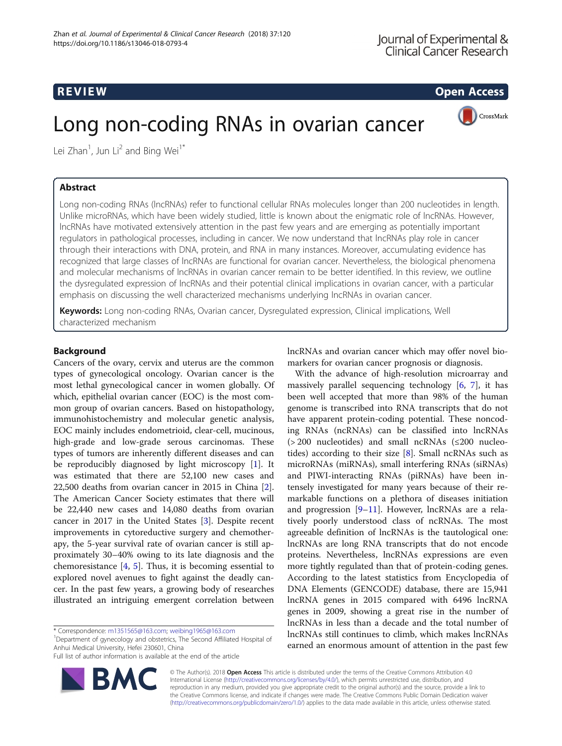R EVI EW Open Access

# Long non-coding RNAs in ovarian cancer



Lei Zhan<sup>1</sup>, Jun Li<sup>2</sup> and Bing Wei<sup>1\*</sup>

# Abstract

Long non-coding RNAs (lncRNAs) refer to functional cellular RNAs molecules longer than 200 nucleotides in length. Unlike microRNAs, which have been widely studied, little is known about the enigmatic role of lncRNAs. However, lncRNAs have motivated extensively attention in the past few years and are emerging as potentially important regulators in pathological processes, including in cancer. We now understand that lncRNAs play role in cancer through their interactions with DNA, protein, and RNA in many instances. Moreover, accumulating evidence has recognized that large classes of lncRNAs are functional for ovarian cancer. Nevertheless, the biological phenomena and molecular mechanisms of lncRNAs in ovarian cancer remain to be better identified. In this review, we outline the dysregulated expression of lncRNAs and their potential clinical implications in ovarian cancer, with a particular emphasis on discussing the well characterized mechanisms underlying lncRNAs in ovarian cancer.

Keywords: Long non-coding RNAs, Ovarian cancer, Dysregulated expression, Clinical implications, Well characterized mechanism

# Background

Cancers of the ovary, cervix and uterus are the common types of gynecological oncology. Ovarian cancer is the most lethal gynecological cancer in women globally. Of which, epithelial ovarian cancer (EOC) is the most common group of ovarian cancers. Based on histopathology, immunohistochemistry and molecular genetic analysis, EOC mainly includes endometrioid, clear-cell, mucinous, high-grade and low-grade serous carcinomas. These types of tumors are inherently different diseases and can be reproducibly diagnosed by light microscopy [[1](#page-10-0)]. It was estimated that there are 52,100 new cases and 22,500 deaths from ovarian cancer in 2015 in China [\[2](#page-10-0)]. The American Cancer Society estimates that there will be 22,440 new cases and 14,080 deaths from ovarian cancer in 2017 in the United States [[3\]](#page-10-0). Despite recent improvements in cytoreductive surgery and chemotherapy, the 5-year survival rate of ovarian cancer is still approximately 30–40% owing to its late diagnosis and the chemoresistance [[4,](#page-10-0) [5](#page-10-0)]. Thus, it is becoming essential to explored novel avenues to fight against the deadly cancer. In the past few years, a growing body of researches illustrated an intriguing emergent correlation between

<sup>1</sup>Department of gynecology and obstetrics, The Second Affiliated Hospital of Anhui Medical University, Hefei 230601, China

Full list of author information is available at the end of the article



lncRNAs and ovarian cancer which may offer novel biomarkers for ovarian cancer prognosis or diagnosis.

With the advance of high-resolution microarray and massively parallel sequencing technology [[6,](#page-10-0) [7\]](#page-10-0), it has been well accepted that more than 98% of the human genome is transcribed into RNA transcripts that do not have apparent protein-coding potential. These noncoding RNAs (ncRNAs) can be classified into lncRNAs (> 200 nucleotides) and small ncRNAs (≤200 nucleotides) according to their size  $[8]$  $[8]$ . Small ncRNAs such as microRNAs (miRNAs), small interfering RNAs (siRNAs) and PIWI-interacting RNAs (piRNAs) have been intensely investigated for many years because of their remarkable functions on a plethora of diseases initiation and progression [[9](#page-10-0)–[11](#page-10-0)]. However, lncRNAs are a relatively poorly understood class of ncRNAs. The most agreeable definition of lncRNAs is the tautological one: lncRNAs are long RNA transcripts that do not encode proteins. Nevertheless, lncRNAs expressions are even more tightly regulated than that of protein-coding genes. According to the latest statistics from Encyclopedia of DNA Elements (GENCODE) database, there are 15,941 lncRNA genes in 2015 compared with 6496 lncRNA genes in 2009, showing a great rise in the number of lncRNAs in less than a decade and the total number of lncRNAs still continues to climb, which makes lncRNAs earned an enormous amount of attention in the past few

© The Author(s). 2018 Open Access This article is distributed under the terms of the Creative Commons Attribution 4.0 International License [\(http://creativecommons.org/licenses/by/4.0/](http://creativecommons.org/licenses/by/4.0/)), which permits unrestricted use, distribution, and reproduction in any medium, provided you give appropriate credit to the original author(s) and the source, provide a link to the Creative Commons license, and indicate if changes were made. The Creative Commons Public Domain Dedication waiver [\(http://creativecommons.org/publicdomain/zero/1.0/](http://creativecommons.org/publicdomain/zero/1.0/)) applies to the data made available in this article, unless otherwise stated.

<sup>\*</sup> Correspondence: [m1351565@163.com;](mailto:m1351565@163.com) [weibing1965@163.com](mailto:weibing1965@163.com) <sup>1</sup>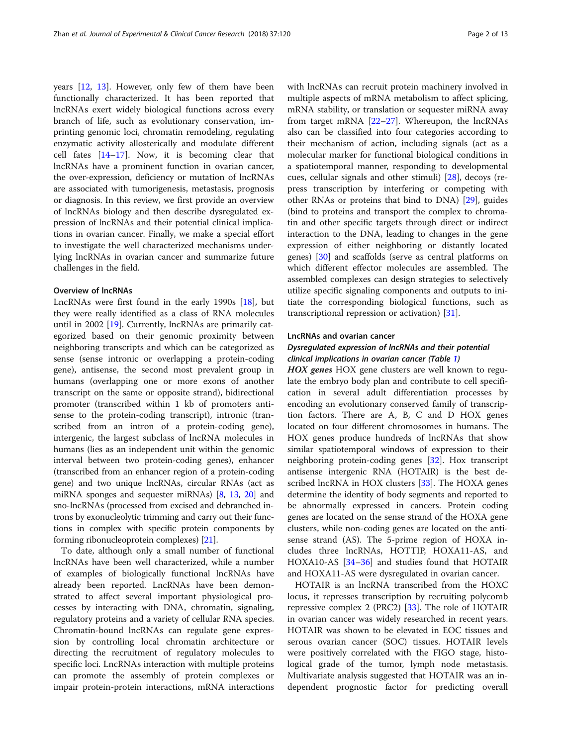years [[12](#page-10-0), [13\]](#page-10-0). However, only few of them have been functionally characterized. It has been reported that lncRNAs exert widely biological functions across every branch of life, such as evolutionary conservation, imprinting genomic loci, chromatin remodeling, regulating enzymatic activity allosterically and modulate different cell fates  $[14-17]$  $[14-17]$  $[14-17]$  $[14-17]$  $[14-17]$ . Now, it is becoming clear that lncRNAs have a prominent function in ovarian cancer, the over-expression, deficiency or mutation of lncRNAs are associated with tumorigenesis, metastasis, prognosis or diagnosis. In this review, we first provide an overview of lncRNAs biology and then describe dysregulated expression of lncRNAs and their potential clinical implications in ovarian cancer. Finally, we make a special effort to investigate the well characterized mechanisms underlying lncRNAs in ovarian cancer and summarize future challenges in the field.

#### Overview of lncRNAs

LncRNAs were first found in the early 1990s [\[18](#page-10-0)], but they were really identified as a class of RNA molecules until in 2002 [\[19\]](#page-10-0). Currently, lncRNAs are primarily categorized based on their genomic proximity between neighboring transcripts and which can be categorized as sense (sense intronic or overlapping a protein-coding gene), antisense, the second most prevalent group in humans (overlapping one or more exons of another transcript on the same or opposite strand), bidirectional promoter (transcribed within 1 kb of promoters antisense to the protein-coding transcript), intronic (transcribed from an intron of a protein-coding gene), intergenic, the largest subclass of lncRNA molecules in humans (lies as an independent unit within the genomic interval between two protein-coding genes), enhancer (transcribed from an enhancer region of a protein-coding gene) and two unique lncRNAs, circular RNAs (act as miRNA sponges and sequester miRNAs) [\[8](#page-10-0), [13,](#page-10-0) [20\]](#page-10-0) and sno-lncRNAs (processed from excised and debranched introns by exonucleolytic trimming and carry out their functions in complex with specific protein components by forming ribonucleoprotein complexes) [\[21](#page-10-0)].

To date, although only a small number of functional lncRNAs have been well characterized, while a number of examples of biologically functional lncRNAs have already been reported. LncRNAs have been demonstrated to affect several important physiological processes by interacting with DNA, chromatin, signaling, regulatory proteins and a variety of cellular RNA species. Chromatin-bound lncRNAs can regulate gene expression by controlling local chromatin architecture or directing the recruitment of regulatory molecules to specific loci. LncRNAs interaction with multiple proteins can promote the assembly of protein complexes or impair protein-protein interactions, mRNA interactions with lncRNAs can recruit protein machinery involved in multiple aspects of mRNA metabolism to affect splicing, mRNA stability, or translation or sequester miRNA away from target mRNA [[22](#page-10-0)–[27](#page-10-0)]. Whereupon, the lncRNAs also can be classified into four categories according to their mechanism of action, including signals (act as a molecular marker for functional biological conditions in a spatiotemporal manner, responding to developmental cues, cellular signals and other stimuli) [\[28](#page-10-0)], decoys (repress transcription by interfering or competing with other RNAs or proteins that bind to DNA) [[29](#page-10-0)], guides (bind to proteins and transport the complex to chromatin and other specific targets through direct or indirect interaction to the DNA, leading to changes in the gene expression of either neighboring or distantly located genes) [[30\]](#page-10-0) and scaffolds (serve as central platforms on which different effector molecules are assembled. The assembled complexes can design strategies to selectively utilize specific signaling components and outputs to initiate the corresponding biological functions, such as transcriptional repression or activation) [[31\]](#page-10-0).

#### LncRNAs and ovarian cancer

# Dysregulated expression of lncRNAs and their potential clinical implications in ovarian cancer (Table [1](#page-2-0))

HOX genes HOX gene clusters are well known to regulate the embryo body plan and contribute to cell specification in several adult differentiation processes by encoding an evolutionary conserved family of transcription factors. There are A, B, C and D HOX genes located on four different chromosomes in humans. The HOX genes produce hundreds of lncRNAs that show similar spatiotemporal windows of expression to their neighboring protein-coding genes [[32\]](#page-10-0). Hox transcript antisense intergenic RNA (HOTAIR) is the best described lncRNA in HOX clusters [\[33](#page-10-0)]. The HOXA genes determine the identity of body segments and reported to be abnormally expressed in cancers. Protein coding genes are located on the sense strand of the HOXA gene clusters, while non-coding genes are located on the antisense strand (AS). The 5-prime region of HOXA includes three lncRNAs, HOTTIP, HOXA11-AS, and HOXA10-AS [[34](#page-10-0)–[36](#page-10-0)] and studies found that HOTAIR and HOXA11-AS were dysregulated in ovarian cancer.

HOTAIR is an lncRNA transcribed from the HOXC locus, it represses transcription by recruiting polycomb repressive complex 2 (PRC2) [[33\]](#page-10-0). The role of HOTAIR in ovarian cancer was widely researched in recent years. HOTAIR was shown to be elevated in EOC tissues and serous ovarian cancer (SOC) tissues. HOTAIR levels were positively correlated with the FIGO stage, histological grade of the tumor, lymph node metastasis. Multivariate analysis suggested that HOTAIR was an independent prognostic factor for predicting overall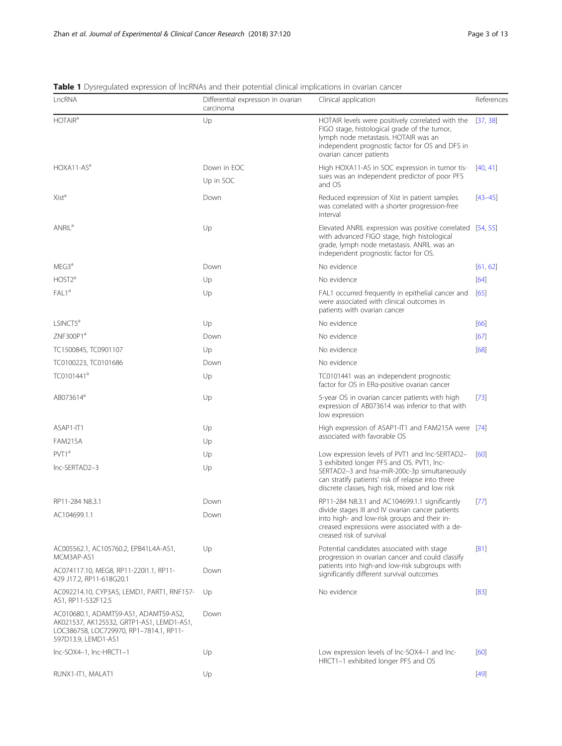| LncRNA                                                                                                                                               | Differential expression in ovarian<br>carcinoma | Clinical application                                                                                                                                                                                                                                | References  |
|------------------------------------------------------------------------------------------------------------------------------------------------------|-------------------------------------------------|-----------------------------------------------------------------------------------------------------------------------------------------------------------------------------------------------------------------------------------------------------|-------------|
| <b>HOTAIR<sup>a</sup></b>                                                                                                                            | Up                                              | HOTAIR levels were positively correlated with the [37, 38]<br>FIGO stage, histological grade of the tumor,<br>lymph node metastasis. HOTAIR was an<br>independent prognostic factor for OS and DFS in<br>ovarian cancer patients                    |             |
| HOXA11-AS <sup>a</sup>                                                                                                                               | Down in EOC<br>Up in SOC                        | High HOXA11-AS in SOC expression in tumor tis-<br>sues was an independent predictor of poor PFS<br>and OS                                                                                                                                           | [40, 41]    |
| Xist <sup>a</sup>                                                                                                                                    | Down                                            | Reduced expression of Xist in patient samples<br>was correlated with a shorter progression-free<br>interval                                                                                                                                         | $[43 - 45]$ |
| <b>ANRIL<sup>a</sup></b>                                                                                                                             | Up                                              | Elevated ANRIL expression was positive correlated [54, 55]<br>with advanced FIGO stage, high histological<br>grade, lymph node metastasis. ANRIL was an<br>independent prognostic factor for OS.                                                    |             |
| MEG3 <sup>a</sup>                                                                                                                                    | Down                                            | No evidence                                                                                                                                                                                                                                         | [61, 62]    |
| HOST <sub>2</sub> ª                                                                                                                                  | Up                                              | No evidence                                                                                                                                                                                                                                         | [64]        |
| $FAL1^a$                                                                                                                                             | Up                                              | FAL1 occurred frequently in epithelial cancer and<br>were associated with clinical outcomes in<br>patients with ovarian cancer                                                                                                                      | [65]        |
| LSINCT5 <sup>d</sup>                                                                                                                                 | Up                                              | No evidence                                                                                                                                                                                                                                         | [66]        |
| ZNF300P1ª                                                                                                                                            | Down                                            | No evidence                                                                                                                                                                                                                                         | [67]        |
| TC1500845, TC0901107                                                                                                                                 | Up                                              | No evidence                                                                                                                                                                                                                                         | [68]        |
| TC0100223, TC0101686                                                                                                                                 | Down                                            | No evidence                                                                                                                                                                                                                                         |             |
| TC0101441 <sup>a</sup>                                                                                                                               | Up                                              | TC0101441 was an independent prognostic<br>factor for OS in ERa-positive ovarian cancer                                                                                                                                                             |             |
| AB073614 <sup>ª</sup>                                                                                                                                | Up                                              | 5-year OS in ovarian cancer patients with high<br>expression of AB073614 was inferior to that with<br>low expression                                                                                                                                | $[73]$      |
| ASAP1-IT1                                                                                                                                            | Up                                              | High expression of ASAP1-IT1 and FAM215A were [74]                                                                                                                                                                                                  |             |
| <b>FAM215A</b>                                                                                                                                       | Up                                              | associated with favorable OS                                                                                                                                                                                                                        |             |
| $PVT1^a$                                                                                                                                             | Up                                              | Low expression levels of PVT1 and Inc-SERTAD2-<br>3 exhibited longer PFS and OS. PVT1, Inc-<br>SERTAD2-3 and hsa-miR-200c-3p simultaneously<br>can stratify patients' risk of relapse into three<br>discrete classes, high risk, mixed and low risk | [60]        |
| Inc-SERTAD2-3                                                                                                                                        | Up                                              |                                                                                                                                                                                                                                                     |             |
| RP11-284 N8.3.1                                                                                                                                      | Down                                            | RP11-284 N8.3.1 and AC104699.1.1 significantly<br>divide stages III and IV ovarian cancer patients<br>into high- and low-risk groups and their in-<br>creased expressions were associated with a de-<br>creased risk of survival                    | $[77]$      |
| AC104699.1.1                                                                                                                                         | Down                                            |                                                                                                                                                                                                                                                     |             |
| AC005562.1, AC105760.2, EPB41L4A-AS1,<br>MCM3AP-AS1                                                                                                  | Up                                              | Potential candidates associated with stage<br>progression in ovarian cancer and could classify<br>patients into high-and low-risk subgroups with<br>significantly different survival outcomes                                                       | [81]        |
| AC074117.10, MEG8, RP11-220I1.1, RP11-<br>429 J17.2, RP11-618G20.1                                                                                   | Down                                            |                                                                                                                                                                                                                                                     |             |
| AC092214.10, CYP3A5, LEMD1, PART1, RNF157-<br>AS1, RP11-532F12.5                                                                                     | Up                                              | No evidence                                                                                                                                                                                                                                         | $[83]$      |
| AC010680.1, ADAMTS9-AS1, ADAMTS9-AS2,<br>AK021537, AK125532, GRTP1-AS1, LEMD1-AS1,<br>LOC386758, LOC729970, RP1-7814.1, RP11-<br>597D13.9, LEMD1-AS1 | Down                                            |                                                                                                                                                                                                                                                     |             |
| Inc-SOX4-1, Inc-HRCT1-1                                                                                                                              | Up                                              | Low expression levels of Inc-SOX4-1 and Inc-<br>HRCT1-1 exhibited longer PFS and OS                                                                                                                                                                 | [60]        |
| RUNX1-IT1, MALAT1                                                                                                                                    | Up                                              |                                                                                                                                                                                                                                                     | $[49]$      |

<span id="page-2-0"></span>Table 1 Dysregulated expression of lncRNAs and their potential clinical implications in ovarian cancer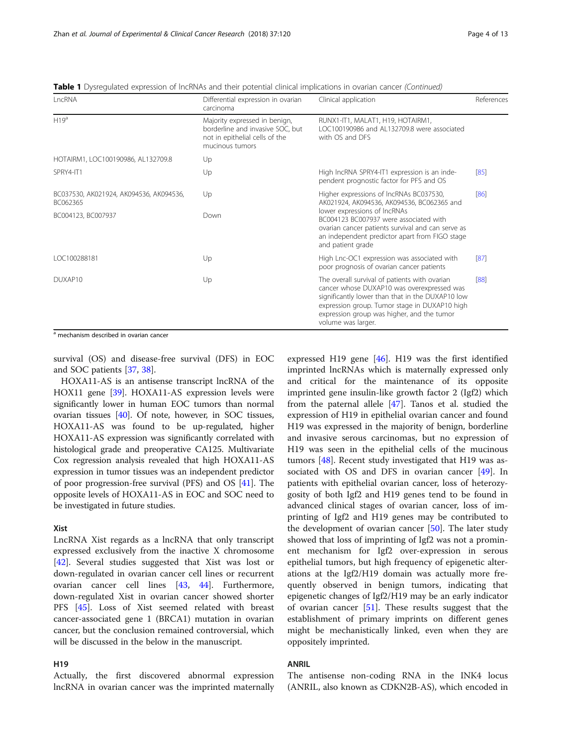| LncRNA                                              | Differential expression in ovarian<br>carcinoma                                                                        | Clinical application                                                                                                                                                                                                                                                                        | References |
|-----------------------------------------------------|------------------------------------------------------------------------------------------------------------------------|---------------------------------------------------------------------------------------------------------------------------------------------------------------------------------------------------------------------------------------------------------------------------------------------|------------|
| H19 <sup>a</sup>                                    | Majority expressed in benign,<br>borderline and invasive SOC, but<br>not in epithelial cells of the<br>mucinous tumors | RUNX1-IT1, MALAT1, H19, HOTAIRM1,<br>LOC100190986 and AL132709.8 were associated<br>with OS and DFS                                                                                                                                                                                         |            |
| HOTAIRM1, LOC100190986, AL132709.8                  | Up                                                                                                                     |                                                                                                                                                                                                                                                                                             |            |
| SPRY4-IT1                                           | Up                                                                                                                     | High IncRNA SPRY4-IT1 expression is an inde-<br>pendent prognostic factor for PFS and OS                                                                                                                                                                                                    | [85]       |
| BC037530, AK021924, AK094536, AK094536,<br>BC062365 | Up                                                                                                                     | Higher expressions of IncRNAs BC037530,<br>AK021924, AK094536, AK094536, BC062365 and<br>lower expressions of IncRNAs<br>BC004123 BC007937 were associated with<br>ovarian cancer patients survival and can serve as<br>an independent predictor apart from FIGO stage<br>and patient grade | [86]       |
| BC004123, BC007937                                  | Down                                                                                                                   |                                                                                                                                                                                                                                                                                             |            |
| LOC100288181                                        | Up                                                                                                                     | High Lnc-OC1 expression was associated with<br>poor prognosis of ovarian cancer patients                                                                                                                                                                                                    | [87]       |
| DUXAP <sub>10</sub>                                 | Up                                                                                                                     | The overall survival of patients with ovarian<br>cancer whose DUXAP10 was overexpressed was<br>significantly lower than that in the DUXAP10 low<br>expression group. Tumor stage in DUXAP10 high<br>expression group was higher, and the tumor<br>volume was larger.                        | [88]       |

Table 1 Dysregulated expression of lncRNAs and their potential clinical implications in ovarian cancer (Continued)

<sup>a</sup> mechanism described in ovarian cancer

survival (OS) and disease-free survival (DFS) in EOC and SOC patients [\[37](#page-10-0), [38\]](#page-10-0).

HOXA11-AS is an antisense transcript lncRNA of the HOX11 gene [[39](#page-10-0)]. HOXA11-AS expression levels were significantly lower in human EOC tumors than normal ovarian tissues [\[40\]](#page-10-0). Of note, however, in SOC tissues, HOXA11-AS was found to be up-regulated, higher HOXA11-AS expression was significantly correlated with histological grade and preoperative CA125. Multivariate Cox regression analysis revealed that high HOXA11-AS expression in tumor tissues was an independent predictor of poor progression-free survival (PFS) and OS [\[41\]](#page-10-0). The opposite levels of HOXA11-AS in EOC and SOC need to be investigated in future studies.

#### Xist

LncRNA Xist regards as a lncRNA that only transcript expressed exclusively from the inactive X chromosome [[42\]](#page-10-0). Several studies suggested that Xist was lost or down-regulated in ovarian cancer cell lines or recurrent ovarian cancer cell lines [\[43](#page-10-0), [44](#page-10-0)]. Furthermore, down-regulated Xist in ovarian cancer showed shorter PFS [[45](#page-10-0)]. Loss of Xist seemed related with breast cancer-associated gene 1 (BRCA1) mutation in ovarian cancer, but the conclusion remained controversial, which will be discussed in the below in the manuscript.

# H19

Actually, the first discovered abnormal expression lncRNA in ovarian cancer was the imprinted maternally

expressed H19 gene [[46\]](#page-11-0). H19 was the first identified imprinted lncRNAs which is maternally expressed only and critical for the maintenance of its opposite imprinted gene insulin-like growth factor 2 (Igf2) which from the paternal allele [[47\]](#page-11-0). Tanos et al. studied the expression of H19 in epithelial ovarian cancer and found H19 was expressed in the majority of benign, borderline and invasive serous carcinomas, but no expression of H19 was seen in the epithelial cells of the mucinous tumors [[48](#page-11-0)]. Recent study investigated that H19 was associated with OS and DFS in ovarian cancer  $[49]$  $[49]$  $[49]$ . In patients with epithelial ovarian cancer, loss of heterozygosity of both Igf2 and H19 genes tend to be found in advanced clinical stages of ovarian cancer, loss of imprinting of Igf2 and H19 genes may be contributed to the development of ovarian cancer [\[50](#page-11-0)]. The later study showed that loss of imprinting of Igf2 was not a prominent mechanism for Igf2 over-expression in serous epithelial tumors, but high frequency of epigenetic alterations at the Igf2/H19 domain was actually more frequently observed in benign tumors, indicating that epigenetic changes of Igf2/H19 may be an early indicator of ovarian cancer  $[51]$  $[51]$ . These results suggest that the establishment of primary imprints on different genes might be mechanistically linked, even when they are oppositely imprinted.

# ANRIL

The antisense non-coding RNA in the INK4 locus (ANRIL, also known as CDKN2B-AS), which encoded in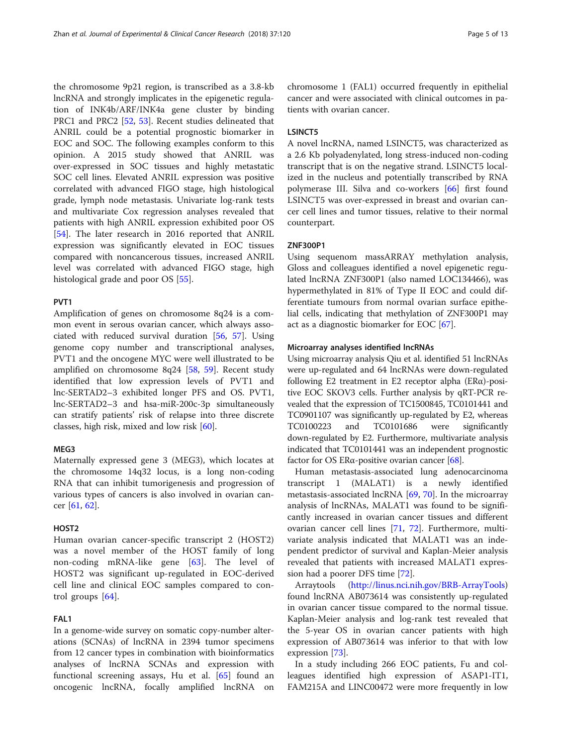the chromosome 9p21 region, is transcribed as a 3.8-kb lncRNA and strongly implicates in the epigenetic regulation of INK4b/ARF/INK4a gene cluster by binding PRC1 and PRC2 [[52,](#page-11-0) [53](#page-11-0)]. Recent studies delineated that ANRIL could be a potential prognostic biomarker in EOC and SOC. The following examples conform to this opinion. A 2015 study showed that ANRIL was over-expressed in SOC tissues and highly metastatic SOC cell lines. Elevated ANRIL expression was positive correlated with advanced FIGO stage, high histological grade, lymph node metastasis. Univariate log-rank tests and multivariate Cox regression analyses revealed that patients with high ANRIL expression exhibited poor OS [[54\]](#page-11-0). The later research in 2016 reported that ANRIL expression was significantly elevated in EOC tissues compared with noncancerous tissues, increased ANRIL level was correlated with advanced FIGO stage, high histological grade and poor OS [\[55\]](#page-11-0).

### PVT1

Amplification of genes on chromosome 8q24 is a common event in serous ovarian cancer, which always associated with reduced survival duration [[56,](#page-11-0) [57](#page-11-0)]. Using genome copy number and transcriptional analyses, PVT1 and the oncogene MYC were well illustrated to be amplified on chromosome 8q24 [[58,](#page-11-0) [59](#page-11-0)]. Recent study identified that low expression levels of PVT1 and lnc-SERTAD2–3 exhibited longer PFS and OS. PVT1, lnc-SERTAD2–3 and hsa-miR-200c-3p simultaneously can stratify patients' risk of relapse into three discrete classes, high risk, mixed and low risk [[60\]](#page-11-0).

# MEG3

Maternally expressed gene 3 (MEG3), which locates at the chromosome 14q32 locus, is a long non-coding RNA that can inhibit tumorigenesis and progression of various types of cancers is also involved in ovarian cancer [\[61](#page-11-0), [62](#page-11-0)].

# HOST2

Human ovarian cancer-specific transcript 2 (HOST2) was a novel member of the HOST family of long non-coding mRNA-like gene [[63](#page-11-0)]. The level of HOST2 was significant up-regulated in EOC-derived cell line and clinical EOC samples compared to control groups [[64](#page-11-0)].

#### FAL1

In a genome-wide survey on somatic copy-number alterations (SCNAs) of lncRNA in 2394 tumor specimens from 12 cancer types in combination with bioinformatics analyses of lncRNA SCNAs and expression with functional screening assays, Hu et al. [[65\]](#page-11-0) found an oncogenic lncRNA, focally amplified lncRNA on chromosome 1 (FAL1) occurred frequently in epithelial cancer and were associated with clinical outcomes in patients with ovarian cancer.

# LSINCT5

A novel lncRNA, named LSINCT5, was characterized as a 2.6 Kb polyadenylated, long stress-induced non-coding transcript that is on the negative strand. LSINCT5 localized in the nucleus and potentially transcribed by RNA polymerase III. Silva and co-workers [\[66\]](#page-11-0) first found LSINCT5 was over-expressed in breast and ovarian cancer cell lines and tumor tissues, relative to their normal counterpart.

# ZNF300P1

Using sequenom massARRAY methylation analysis, Gloss and colleagues identified a novel epigenetic regulated lncRNA ZNF300P1 (also named LOC134466), was hypermethylated in 81% of Type II EOC and could differentiate tumours from normal ovarian surface epithelial cells, indicating that methylation of ZNF300P1 may act as a diagnostic biomarker for EOC [[67\]](#page-11-0).

#### Microarray analyses identified lncRNAs

Using microarray analysis Qiu et al. identified 51 lncRNAs were up-regulated and 64 lncRNAs were down-regulated following E2 treatment in E2 receptor alpha (ERα)-positive EOC SKOV3 cells. Further analysis by qRT-PCR revealed that the expression of TC1500845, TC0101441 and TC0901107 was significantly up-regulated by E2, whereas TC0100223 and TC0101686 were significantly down-regulated by E2. Furthermore, multivariate analysis indicated that TC0101441 was an independent prognostic factor for OS ERα-positive ovarian cancer [\[68\]](#page-11-0).

Human metastasis-associated lung adenocarcinoma transcript 1 (MALAT1) is a newly identified metastasis-associated lncRNA [\[69](#page-11-0), [70](#page-11-0)]. In the microarray analysis of lncRNAs, MALAT1 was found to be significantly increased in ovarian cancer tissues and different ovarian cancer cell lines [\[71,](#page-11-0) [72\]](#page-11-0). Furthermore, multivariate analysis indicated that MALAT1 was an independent predictor of survival and Kaplan-Meier analysis revealed that patients with increased MALAT1 expression had a poorer DFS time [[72](#page-11-0)].

Arraytools [\(http://linus.nci.nih.gov/BRB-ArrayTools](http://linus.nci.nih.gov/BRB-ArrayTools)) found lncRNA AB073614 was consistently up-regulated in ovarian cancer tissue compared to the normal tissue. Kaplan-Meier analysis and log-rank test revealed that the 5-year OS in ovarian cancer patients with high expression of AB073614 was inferior to that with low expression [[73\]](#page-11-0).

In a study including 266 EOC patients, Fu and colleagues identified high expression of ASAP1-IT1, FAM215A and LINC00472 were more frequently in low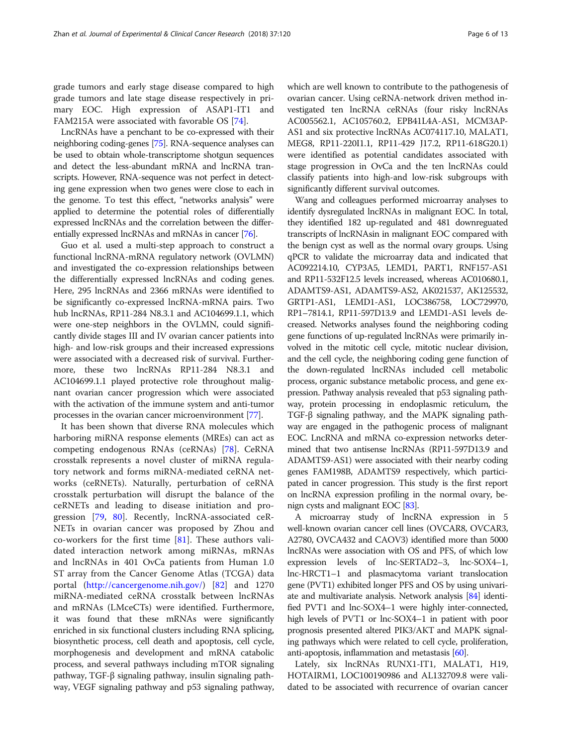grade tumors and early stage disease compared to high grade tumors and late stage disease respectively in primary EOC. High expression of ASAP1-IT1 and FAM215A were associated with favorable OS [\[74](#page-11-0)].

LncRNAs have a penchant to be co-expressed with their neighboring coding-genes [\[75\]](#page-11-0). RNA-sequence analyses can be used to obtain whole-transcriptome shotgun sequences and detect the less-abundant mRNA and lncRNA transcripts. However, RNA-sequence was not perfect in detecting gene expression when two genes were close to each in the genome. To test this effect, "networks analysis" were applied to determine the potential roles of differentially expressed lncRNAs and the correlation between the differentially expressed lncRNAs and mRNAs in cancer [[76](#page-11-0)].

Guo et al. used a multi-step approach to construct a functional lncRNA-mRNA regulatory network (OVLMN) and investigated the co-expression relationships between the differentially expressed lncRNAs and coding genes. Here, 295 lncRNAs and 2366 mRNAs were identified to be significantly co-expressed lncRNA-mRNA pairs. Two hub lncRNAs, RP11-284 N8.3.1 and AC104699.1.1, which were one-step neighbors in the OVLMN, could significantly divide stages III and IV ovarian cancer patients into high- and low-risk groups and their increased expressions were associated with a decreased risk of survival. Furthermore, these two lncRNAs RP11-284 N8.3.1 and AC104699.1.1 played protective role throughout malignant ovarian cancer progression which were associated with the activation of the immune system and anti-tumor processes in the ovarian cancer microenvironment [\[77\]](#page-11-0).

It has been shown that diverse RNA molecules which harboring miRNA response elements (MREs) can act as competing endogenous RNAs (ceRNAs) [\[78](#page-11-0)]. CeRNA crosstalk represents a novel cluster of miRNA regulatory network and forms miRNA-mediated ceRNA networks (ceRNETs). Naturally, perturbation of ceRNA crosstalk perturbation will disrupt the balance of the ceRNETs and leading to disease initiation and progression [[79,](#page-11-0) [80\]](#page-11-0). Recently, lncRNA-associated ceR-NETs in ovarian cancer was proposed by Zhou and co-workers for the first time [[81](#page-11-0)]. These authors validated interaction network among miRNAs, mRNAs and lncRNAs in 401 OvCa patients from Human 1.0 ST array from the Cancer Genome Atlas (TCGA) data portal ([http://cancergenome.nih.gov/\)](http://cancergenome.nih.gov/) [\[82](#page-11-0)] and 1270 miRNA-mediated ceRNA crosstalk between lncRNAs and mRNAs (LMceCTs) were identified. Furthermore, it was found that these mRNAs were significantly enriched in six functional clusters including RNA splicing, biosynthetic process, cell death and apoptosis, cell cycle, morphogenesis and development and mRNA catabolic process, and several pathways including mTOR signaling pathway, TGF-β signaling pathway, insulin signaling pathway, VEGF signaling pathway and p53 signaling pathway, which are well known to contribute to the pathogenesis of ovarian cancer. Using ceRNA-network driven method investigated ten lncRNA ceRNAs (four risky lncRNAs AC005562.1, AC105760.2, EPB41L4A-AS1, MCM3AP-AS1 and six protective lncRNAs AC074117.10, MALAT1, MEG8, RP11-220I1.1, RP11-429 J17.2, RP11-618G20.1) were identified as potential candidates associated with stage progression in OvCa and the ten lncRNAs could classify patients into high-and low-risk subgroups with significantly different survival outcomes.

Wang and colleagues performed microarray analyses to identify dysregulated lncRNAs in malignant EOC. In total, they identified 182 up-regulated and 481 downreguated transcripts of lncRNAsin in malignant EOC compared with the benign cyst as well as the normal ovary groups. Using qPCR to validate the microarray data and indicated that AC092214.10, CYP3A5, LEMD1, PART1, RNF157-AS1 and RP11-532F12.5 levels increased, whereas AC010680.1, ADAMTS9-AS1, ADAMTS9-AS2, AK021537, AK125532, GRTP1-AS1, LEMD1-AS1, LOC386758, LOC729970, RP1–7814.1, RP11-597D13.9 and LEMD1-AS1 levels decreased. Networks analyses found the neighboring coding gene functions of up-regulated lncRNAs were primarily involved in the mitotic cell cycle, mitotic nuclear division, and the cell cycle, the neighboring coding gene function of the down-regulated lncRNAs included cell metabolic process, organic substance metabolic process, and gene expression. Pathway analysis revealed that p53 signaling pathway, protein processing in endoplasmic reticulum, the TGF-β signaling pathway, and the MAPK signaling pathway are engaged in the pathogenic process of malignant EOC. LncRNA and mRNA co-expression networks determined that two antisense lncRNAs (RP11-597D13.9 and ADAMTS9-AS1) were associated with their nearby coding genes FAM198B, ADAMTS9 respectively, which participated in cancer progression. This study is the first report on lncRNA expression profiling in the normal ovary, benign cysts and malignant EOC [[83](#page-11-0)].

A microarray study of lncRNA expression in 5 well-known ovarian cancer cell lines (OVCAR8, OVCAR3, A2780, OVCA432 and CAOV3) identified more than 5000 lncRNAs were association with OS and PFS, of which low expression levels of lnc-SERTAD2–3, lnc-SOX4–1, lnc-HRCT1–1 and plasmacytoma variant translocation gene (PVT1) exhibited longer PFS and OS by using univariate and multivariate analysis. Network analysis [\[84](#page-11-0)] identified PVT1 and lnc-SOX4–1 were highly inter-connected, high levels of PVT1 or lnc-SOX4–1 in patient with poor prognosis presented altered PIK3/AKT and MAPK signaling pathways which were related to cell cycle, proliferation, anti-apoptosis, inflammation and metastasis [\[60\]](#page-11-0).

Lately, six lncRNAs RUNX1-IT1, MALAT1, H19, HOTAIRM1, LOC100190986 and AL132709.8 were validated to be associated with recurrence of ovarian cancer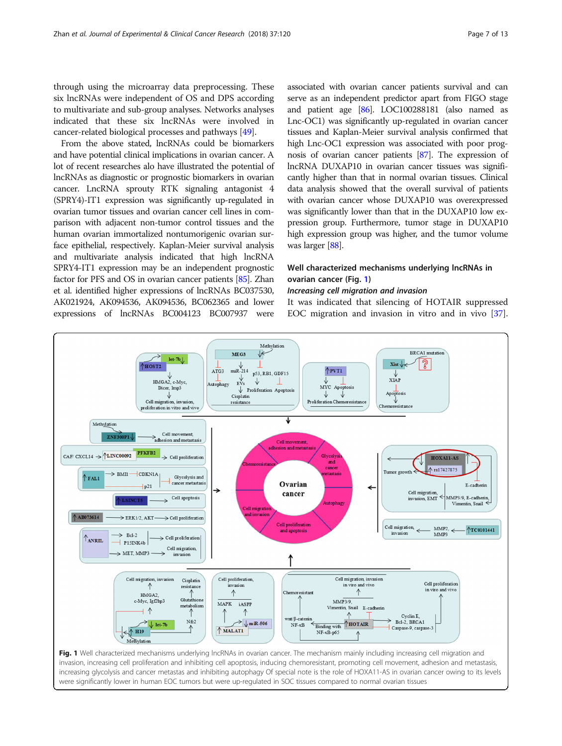through using the microarray data preprocessing. These six lncRNAs were independent of OS and DPS according to multivariate and sub-group analyses. Networks analyses indicated that these six lncRNAs were involved in cancer-related biological processes and pathways [\[49\]](#page-11-0).

From the above stated, lncRNAs could be biomarkers and have potential clinical implications in ovarian cancer. A lot of recent researches alo have illustrated the potential of lncRNAs as diagnostic or prognostic biomarkers in ovarian cancer. LncRNA sprouty RTK signaling antagonist 4 (SPRY4)-IT1 expression was significantly up-regulated in ovarian tumor tissues and ovarian cancer cell lines in comparison with adjacent non-tumor control tissues and the human ovarian immortalized nontumorigenic ovarian surface epithelial, respectively. Kaplan-Meier survival analysis and multivariate analysis indicated that high lncRNA SPRY4-IT1 expression may be an independent prognostic factor for PFS and OS in ovarian cancer patients [[85](#page-11-0)]. Zhan et al. identified higher expressions of lncRNAs BC037530, AK021924, AK094536, AK094536, BC062365 and lower expressions of lncRNAs BC004123 BC007937 were associated with ovarian cancer patients survival and can serve as an independent predictor apart from FIGO stage and patient age [\[86\]](#page-11-0). LOC100288181 (also named as Lnc-OC1) was significantly up-regulated in ovarian cancer tissues and Kaplan-Meier survival analysis confirmed that high Lnc-OC1 expression was associated with poor prognosis of ovarian cancer patients [[87](#page-11-0)]. The expression of lncRNA DUXAP10 in ovarian cancer tissues was significantly higher than that in normal ovarian tissues. Clinical data analysis showed that the overall survival of patients with ovarian cancer whose DUXAP10 was overexpressed was significantly lower than that in the DUXAP10 low expression group. Furthermore, tumor stage in DUXAP10 high expression group was higher, and the tumor volume was larger [\[88](#page-12-0)].

# Well characterized mechanisms underlying lncRNAs in ovarian cancer (Fig. 1)

#### Increasing cell migration and invasion

It was indicated that silencing of HOTAIR suppressed EOC migration and invasion in vitro and in vivo [\[37](#page-10-0)].

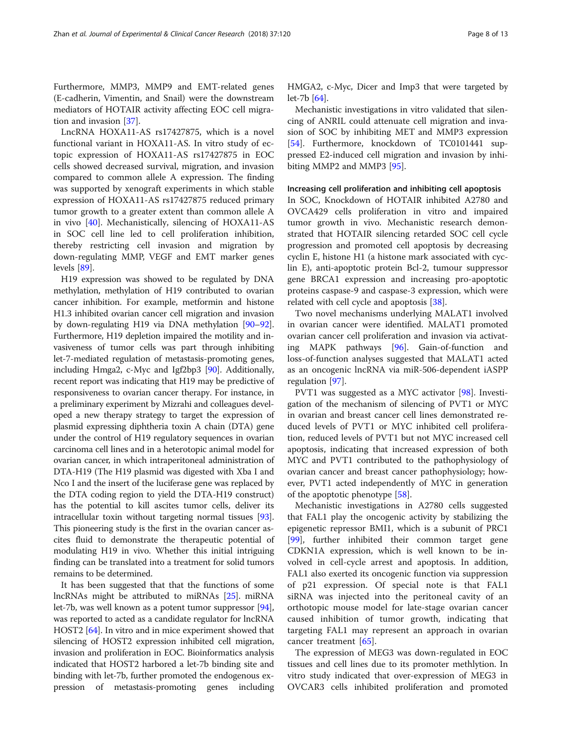Furthermore, MMP3, MMP9 and EMT-related genes (E-cadherin, Vimentin, and Snail) were the downstream mediators of HOTAIR activity affecting EOC cell migration and invasion [[37\]](#page-10-0).

LncRNA HOXA11-AS rs17427875, which is a novel functional variant in HOXA11-AS. In vitro study of ectopic expression of HOXA11-AS rs17427875 in EOC cells showed decreased survival, migration, and invasion compared to common allele A expression. The finding was supported by xenograft experiments in which stable expression of HOXA11-AS rs17427875 reduced primary tumor growth to a greater extent than common allele A in vivo [[40](#page-10-0)]. Mechanistically, silencing of HOXA11-AS in SOC cell line led to cell proliferation inhibition, thereby restricting cell invasion and migration by down-regulating MMP, VEGF and EMT marker genes levels [\[89\]](#page-12-0).

H19 expression was showed to be regulated by DNA methylation, methylation of H19 contributed to ovarian cancer inhibition. For example, metformin and histone H1.3 inhibited ovarian cancer cell migration and invasion by down-regulating H19 via DNA methylation [\[90](#page-12-0)–[92](#page-12-0)]. Furthermore, H19 depletion impaired the motility and invasiveness of tumor cells was part through inhibiting let-7-mediated regulation of metastasis-promoting genes, including Hmga2, c-Myc and Igf2bp3 [\[90\]](#page-12-0). Additionally, recent report was indicating that H19 may be predictive of responsiveness to ovarian cancer therapy. For instance, in a preliminary experiment by Mizrahi and colleagues developed a new therapy strategy to target the expression of plasmid expressing diphtheria toxin A chain (DTA) gene under the control of H19 regulatory sequences in ovarian carcinoma cell lines and in a heterotopic animal model for ovarian cancer, in which intraperitoneal administration of DTA-H19 (The H19 plasmid was digested with Xba I and Nco I and the insert of the luciferase gene was replaced by the DTA coding region to yield the DTA-H19 construct) has the potential to kill ascites tumor cells, deliver its intracellular toxin without targeting normal tissues [[93](#page-12-0)]. This pioneering study is the first in the ovarian cancer ascites fluid to demonstrate the therapeutic potential of modulating H19 in vivo. Whether this initial intriguing finding can be translated into a treatment for solid tumors remains to be determined.

It has been suggested that that the functions of some lncRNAs might be attributed to miRNAs [\[25\]](#page-10-0). miRNA let-7b, was well known as a potent tumor suppressor [[94](#page-12-0)], was reported to acted as a candidate regulator for lncRNA HOST2 [[64](#page-11-0)]. In vitro and in mice experiment showed that silencing of HOST2 expression inhibited cell migration, invasion and proliferation in EOC. Bioinformatics analysis indicated that HOST2 harbored a let-7b binding site and binding with let-7b, further promoted the endogenous expression of metastasis-promoting genes including HMGA2, c-Myc, Dicer and Imp3 that were targeted by let-7b [\[64](#page-11-0)].

Mechanistic investigations in vitro validated that silencing of ANRIL could attenuate cell migration and invasion of SOC by inhibiting MET and MMP3 expression [[54\]](#page-11-0). Furthermore, knockdown of TC0101441 suppressed E2-induced cell migration and invasion by inhibiting MMP2 and MMP3 [\[95](#page-12-0)].

# Increasing cell proliferation and inhibiting cell apoptosis

In SOC, Knockdown of HOTAIR inhibited A2780 and OVCA429 cells proliferation in vitro and impaired tumor growth in vivo. Mechanistic research demonstrated that HOTAIR silencing retarded SOC cell cycle progression and promoted cell apoptosis by decreasing cyclin E, histone H1 (a histone mark associated with cyclin E), anti-apoptotic protein Bcl-2, tumour suppressor gene BRCA1 expression and increasing pro-apoptotic proteins caspase-9 and caspase-3 expression, which were related with cell cycle and apoptosis [[38\]](#page-10-0).

Two novel mechanisms underlying MALAT1 involved in ovarian cancer were identified. MALAT1 promoted ovarian cancer cell proliferation and invasion via activating MAPK pathways [\[96](#page-12-0)]. Gain-of-function and loss-of-function analyses suggested that MALAT1 acted as an oncogenic lncRNA via miR-506-dependent iASPP regulation [\[97\]](#page-12-0).

PVT1 was suggested as a MYC activator [\[98](#page-12-0)]. Investigation of the mechanism of silencing of PVT1 or MYC in ovarian and breast cancer cell lines demonstrated reduced levels of PVT1 or MYC inhibited cell proliferation, reduced levels of PVT1 but not MYC increased cell apoptosis, indicating that increased expression of both MYC and PVT1 contributed to the pathophysiology of ovarian cancer and breast cancer pathophysiology; however, PVT1 acted independently of MYC in generation of the apoptotic phenotype [[58](#page-11-0)].

Mechanistic investigations in A2780 cells suggested that FAL1 play the oncogenic activity by stabilizing the epigenetic repressor BMI1, which is a subunit of PRC1 [[99\]](#page-12-0), further inhibited their common target gene CDKN1A expression, which is well known to be involved in cell-cycle arrest and apoptosis. In addition, FAL1 also exerted its oncogenic function via suppression of p21 expression. Of special note is that FAL1 siRNA was injected into the peritoneal cavity of an orthotopic mouse model for late-stage ovarian cancer caused inhibition of tumor growth, indicating that targeting FAL1 may represent an approach in ovarian cancer treatment [[65\]](#page-11-0).

The expression of MEG3 was down-regulated in EOC tissues and cell lines due to its promoter methlytion. In vitro study indicated that over-expression of MEG3 in OVCAR3 cells inhibited proliferation and promoted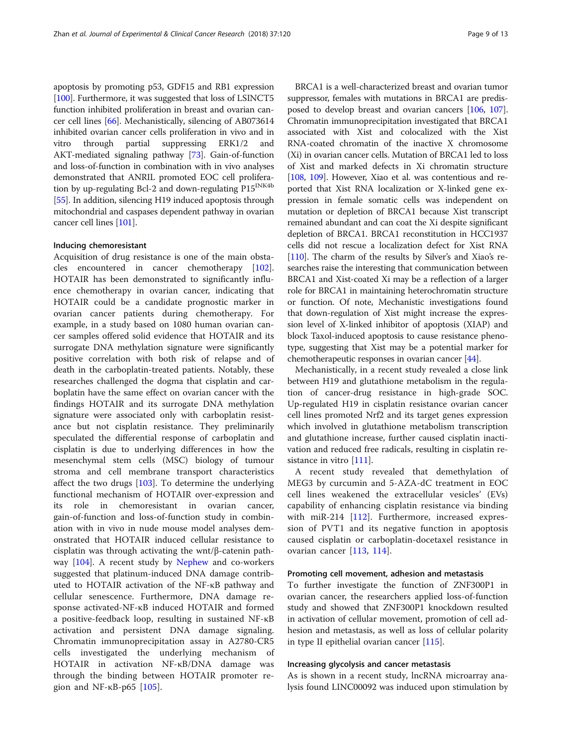apoptosis by promoting p53, GDF15 and RB1 expression [[100](#page-12-0)]. Furthermore, it was suggested that loss of LSINCT5 function inhibited proliferation in breast and ovarian cancer cell lines [[66](#page-11-0)]. Mechanistically, silencing of AB073614 inhibited ovarian cancer cells proliferation in vivo and in vitro through partial suppressing ERK1/2 and AKT-mediated signaling pathway [\[73\]](#page-11-0). Gain-of-function and loss-of-function in combination with in vivo analyses demonstrated that ANRIL promoted EOC cell proliferation by up-regulating Bcl-2 and down-regulating  $\mathrm{P15^{INK4b}}$ [[55](#page-11-0)]. In addition, silencing H19 induced apoptosis through mitochondrial and caspases dependent pathway in ovarian cancer cell lines [[101](#page-12-0)].

#### Inducing chemoresistant

Acquisition of drug resistance is one of the main obstacles encountered in cancer chemotherapy [\[102](#page-12-0)]. HOTAIR has been demonstrated to significantly influence chemotherapy in ovarian cancer, indicating that HOTAIR could be a candidate prognostic marker in ovarian cancer patients during chemotherapy. For example, in a study based on 1080 human ovarian cancer samples offered solid evidence that HOTAIR and its surrogate DNA methylation signature were significantly positive correlation with both risk of relapse and of death in the carboplatin-treated patients. Notably, these researches challenged the dogma that cisplatin and carboplatin have the same effect on ovarian cancer with the findings HOTAIR and its surrogate DNA methylation signature were associated only with carboplatin resistance but not cisplatin resistance. They preliminarily speculated the differential response of carboplatin and cisplatin is due to underlying differences in how the mesenchymal stem cells (MSC) biology of tumour stroma and cell membrane transport characteristics affect the two drugs [[103\]](#page-12-0). To determine the underlying functional mechanism of HOTAIR over-expression and its role in chemoresistant in ovarian cancer, gain-of-function and loss-of-function study in combination with in vivo in nude mouse model analyses demonstrated that HOTAIR induced cellular resistance to cisplatin was through activating the wnt/β-catenin pathway [\[104\]](#page-12-0). A recent study by [Nephew](http://nc.yuntsg.com/pubmed/?term=Nephew%20KP%5BAuthor%5D&cauthor=true&cauthor_uid=27041570) and co-workers suggested that platinum-induced DNA damage contributed to HOTAIR activation of the NF-κB pathway and cellular senescence. Furthermore, DNA damage response activated-NF-κB induced HOTAIR and formed a positive-feedback loop, resulting in sustained NF-κB activation and persistent DNA damage signaling. Chromatin immunoprecipitation assay in A2780-CR5 cells investigated the underlying mechanism of HOTAIR in activation NF-κB/DNA damage was through the binding between HOTAIR promoter region and NF- $\kappa$ B-p65 [\[105\]](#page-12-0).

BRCA1 is a well-characterized breast and ovarian tumor suppressor, females with mutations in BRCA1 are predisposed to develop breast and ovarian cancers [\[106,](#page-12-0) [107](#page-12-0)]. Chromatin immunoprecipitation investigated that BRCA1 associated with Xist and colocalized with the Xist RNA-coated chromatin of the inactive X chromosome (Xi) in ovarian cancer cells. Mutation of BRCA1 led to loss of Xist and marked defects in Xi chromatin structure [[108](#page-12-0), [109\]](#page-12-0). However, Xiao et al. was contentious and reported that Xist RNA localization or X-linked gene expression in female somatic cells was independent on mutation or depletion of BRCA1 because Xist transcript remained abundant and can coat the Xi despite significant depletion of BRCA1. BRCA1 reconstitution in HCC1937 cells did not rescue a localization defect for Xist RNA [[110](#page-12-0)]. The charm of the results by Silver's and Xiao's researches raise the interesting that communication between BRCA1 and Xist-coated Xi may be a reflection of a larger role for BRCA1 in maintaining heterochromatin structure or function. Of note, Mechanistic investigations found that down-regulation of Xist might increase the expression level of X-linked inhibitor of apoptosis (XIAP) and block Taxol-induced apoptosis to cause resistance phenotype, suggesting that Xist may be a potential marker for chemotherapeutic responses in ovarian cancer [\[44\]](#page-10-0).

Mechanistically, in a recent study revealed a close link between H19 and glutathione metabolism in the regulation of cancer-drug resistance in high-grade SOC. Up-regulated H19 in cisplatin resistance ovarian cancer cell lines promoted Nrf2 and its target genes expression which involved in glutathione metabolism transcription and glutathione increase, further caused cisplatin inactivation and reduced free radicals, resulting in cisplatin re-sistance in vitro [[111](#page-12-0)].

A recent study revealed that demethylation of MEG3 by curcumin and 5-AZA-dC treatment in EOC cell lines weakened the extracellular vesicles' (EVs) capability of enhancing cisplatin resistance via binding with miR-214 [\[112](#page-12-0)]. Furthermore, increased expression of PVT1 and its negative function in apoptosis caused cisplatin or carboplatin-docetaxel resistance in ovarian cancer [[113,](#page-12-0) [114\]](#page-12-0).

#### Promoting cell movement, adhesion and metastasis

To further investigate the function of ZNF300P1 in ovarian cancer, the researchers applied loss-of-function study and showed that ZNF300P1 knockdown resulted in activation of cellular movement, promotion of cell adhesion and metastasis, as well as loss of cellular polarity in type II epithelial ovarian cancer [\[115\]](#page-12-0).

# Increasing glycolysis and cancer metastasis

As is shown in a recent study, lncRNA microarray analysis found LINC00092 was induced upon stimulation by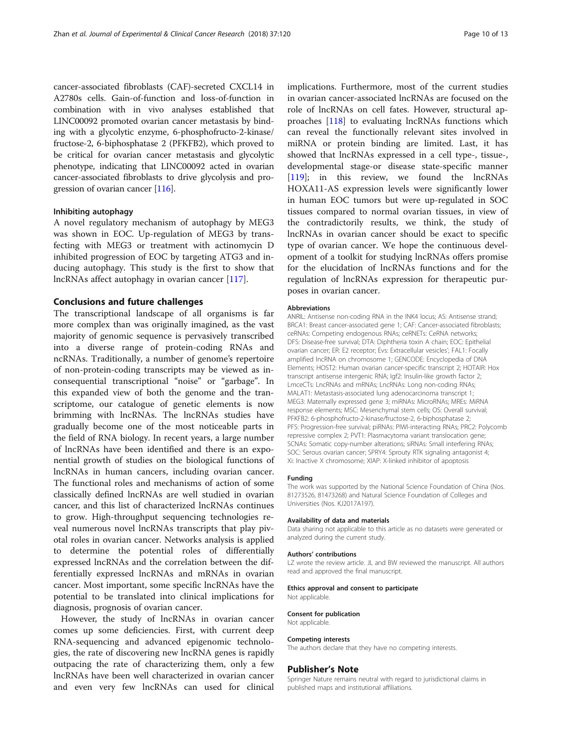cancer-associated fibroblasts (CAF)-secreted CXCL14 in A2780s cells. Gain-of-function and loss-of-function in combination with in vivo analyses established that LINC00092 promoted ovarian cancer metastasis by binding with a glycolytic enzyme, 6-phosphofructo-2-kinase/ fructose-2, 6-biphosphatase 2 (PFKFB2), which proved to be critical for ovarian cancer metastasis and glycolytic phenotype, indicating that LINC00092 acted in ovarian cancer-associated fibroblasts to drive glycolysis and progression of ovarian cancer [\[116\]](#page-12-0).

# Inhibiting autophagy

A novel regulatory mechanism of autophagy by MEG3 was shown in EOC. Up-regulation of MEG3 by transfecting with MEG3 or treatment with actinomycin D inhibited progression of EOC by targeting ATG3 and inducing autophagy. This study is the first to show that lncRNAs affect autophagy in ovarian cancer [\[117\]](#page-12-0).

# Conclusions and future challenges

The transcriptional landscape of all organisms is far more complex than was originally imagined, as the vast majority of genomic sequence is pervasively transcribed into a diverse range of protein-coding RNAs and ncRNAs. Traditionally, a number of genome's repertoire of non-protein-coding transcripts may be viewed as inconsequential transcriptional "noise" or "garbage". In this expanded view of both the genome and the transcriptome, our catalogue of genetic elements is now brimming with lncRNAs. The lncRNAs studies have gradually become one of the most noticeable parts in the field of RNA biology. In recent years, a large number of lncRNAs have been identified and there is an exponential growth of studies on the biological functions of lncRNAs in human cancers, including ovarian cancer. The functional roles and mechanisms of action of some classically defined lncRNAs are well studied in ovarian cancer, and this list of characterized lncRNAs continues to grow. High-throughput sequencing technologies reveal numerous novel lncRNAs transcripts that play pivotal roles in ovarian cancer. Networks analysis is applied to determine the potential roles of differentially expressed lncRNAs and the correlation between the differentially expressed lncRNAs and mRNAs in ovarian cancer. Most important, some specific lncRNAs have the potential to be translated into clinical implications for diagnosis, prognosis of ovarian cancer.

However, the study of lncRNAs in ovarian cancer comes up some deficiencies. First, with current deep RNA-sequencing and advanced epigenomic technologies, the rate of discovering new lncRNA genes is rapidly outpacing the rate of characterizing them, only a few lncRNAs have been well characterized in ovarian cancer and even very few lncRNAs can used for clinical

implications. Furthermore, most of the current studies in ovarian cancer-associated lncRNAs are focused on the role of lncRNAs on cell fates. However, structural approaches [[118\]](#page-12-0) to evaluating lncRNAs functions which can reveal the functionally relevant sites involved in miRNA or protein binding are limited. Last, it has showed that lncRNAs expressed in a cell type-, tissue-, developmental stage-or disease state-specific manner [[119\]](#page-12-0); in this review, we found the lncRNAs HOXA11-AS expression levels were significantly lower in human EOC tumors but were up-regulated in SOC tissues compared to normal ovarian tissues, in view of the contradictorily results, we think, the study of lncRNAs in ovarian cancer should be exact to specific type of ovarian cancer. We hope the continuous development of a toolkit for studying lncRNAs offers promise for the elucidation of lncRNAs functions and for the regulation of lncRNAs expression for therapeutic purposes in ovarian cancer.

#### Abbreviations

ANRIL: Antisense non-coding RNA in the INK4 locus; AS: Antisense strand; BRCA1: Breast cancer-associated gene 1; CAF: Cancer-associated fibroblasts; ceRNAs: Competing endogenous RNAs; ceRNETs: CeRNA networks; DFS: Disease-free survival; DTA: Diphtheria toxin A chain; EOC: Epithelial ovarian cancer; ER: E2 receptor; Evs: Extracellular vesicles'; FAL1: Focally amplified lncRNA on chromosome 1; GENCODE: Encyclopedia of DNA Elements; HOST2: Human ovarian cancer-specific transcript 2; HOTAIR: Hox transcript antisense intergenic RNA; Igf2: Insulin-like growth factor 2; LmceCTs: LncRNAs and mRNAs; LncRNAs: Long non-coding RNAs; MALAT1: Metastasis-associated lung adenocarcinoma transcript 1; MEG3: Maternally expressed gene 3; miRNAs: MicroRNAs; MREs: MiRNA response elements; MSC: Mesenchymal stem cells; OS: Overall survival; PFKFB2: 6-phosphofructo-2-kinase/fructose-2, 6-biphosphatase 2; PFS: Progression-free survival; piRNAs: PIWI-interacting RNAs; PRC2: Polycomb repressive complex 2; PVT1: Plasmacytoma variant translocation gene; SCNAs: Somatic copy-number alterations; siRNAs: Small interfering RNAs; SOC: Serous ovarian cancer; SPRY4: Sprouty RTK signaling antagonist 4; Xi: Inactive X chromosome; XIAP: X-linked inhibitor of apoptosis

#### Funding

The work was supported by the National Science Foundation of China (Nos. 81273526, 81473268) and Natural Science Foundation of Colleges and Universities (Nos. KJ2017A197).

#### Availability of data and materials

Data sharing not applicable to this article as no datasets were generated or analyzed during the current study.

#### Authors' contributions

LZ wrote the review article. JL and BW reviewed the manuscript. All authors read and approved the final manuscript.

#### Ethics approval and consent to participate

Not applicable.

#### Consent for publication

Not applicable.

#### Competing interests

The authors declare that they have no competing interests.

#### Publisher's Note

Springer Nature remains neutral with regard to jurisdictional claims in published maps and institutional affiliations.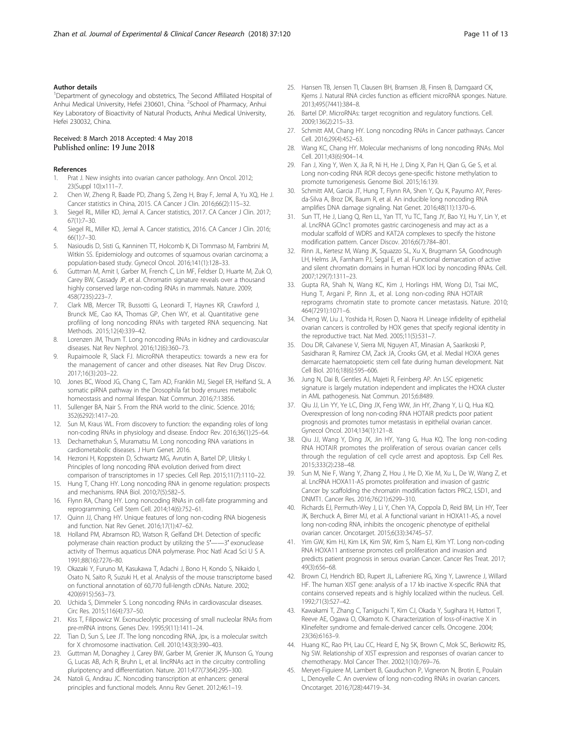### <span id="page-10-0"></span>Author details

<sup>1</sup>Department of gynecology and obstetrics, The Second Affiliated Hospital of Anhui Medical University, Hefei 230601, China. <sup>2</sup>School of Pharmacy, Anhui Key Laboratory of Bioactivity of Natural Products, Anhui Medical University, Hefei 230032, China.

### Received: 8 March 2018 Accepted: 4 May 2018 Published online: 19 June 2018

#### References

- Prat J. New insights into ovarian cancer pathology. Ann Oncol. 2012; 23(Suppl 10):x111–7.
- 2. Chen W, Zheng R, Baade PD, Zhang S, Zeng H, Bray F, Jemal A, Yu XQ, He J. Cancer statistics in China, 2015. CA Cancer J Clin. 2016;66(2):115–32.
- 3. Siegel RL, Miller KD, Jemal A. Cancer statistics, 2017. CA Cancer J Clin. 2017; 67(1):7–30.
- 4. Siegel RL, Miller KD, Jemal A. Cancer statistics, 2016. CA Cancer J Clin. 2016; 66(1):7–30.
- 5. Nasioudis D, Sisti G, Kanninen TT, Holcomb K, Di Tommaso M, Fambrini M, Witkin SS. Epidemiology and outcomes of squamous ovarian carcinoma; a population-based study. Gynecol Oncol. 2016;141(1):128–33.
- 6. Guttman M, Amit I, Garber M, French C, Lin MF, Feldser D, Huarte M, Zuk O, Carey BW, Cassady JP, et al. Chromatin signature reveals over a thousand highly conserved large non-coding RNAs in mammals. Nature. 2009; 458(7235):223–7.
- 7. Clark MB, Mercer TR, Bussotti G, Leonardi T, Haynes KR, Crawford J, Brunck ME, Cao KA, Thomas GP, Chen WY, et al. Quantitative gene profiling of long noncoding RNAs with targeted RNA sequencing. Nat Methods. 2015;12(4):339–42.
- 8. Lorenzen JM, Thum T. Long noncoding RNAs in kidney and cardiovascular diseases. Nat Rev Nephrol. 2016;12(6):360–73.
- 9. Rupaimoole R, Slack FJ. MicroRNA therapeutics: towards a new era for the management of cancer and other diseases. Nat Rev Drug Discov. 2017;16(3):203–22.
- 10. Jones BC, Wood JG, Chang C, Tam AD, Franklin MJ, Siegel ER, Helfand SL. A somatic piRNA pathway in the Drosophila fat body ensures metabolic homeostasis and normal lifespan. Nat Commun. 2016;7:13856.
- 11. Sullenger BA, Nair S. From the RNA world to the clinic. Science. 2016; 352(6292):1417–20.
- 12. Sun M, Kraus WL. From discovery to function: the expanding roles of long non-coding RNAs in physiology and disease. Endocr Rev. 2016;36(1):25–64.
- 13. Dechamethakun S, Muramatsu M. Long noncoding RNA variations in cardiometabolic diseases. J Hum Genet. 2016.
- 14. Hezroni H, Koppstein D, Schwartz MG, Avrutin A, Bartel DP, Ulitsky I. Principles of long noncoding RNA evolution derived from direct comparison of transcriptomes in 17 species. Cell Rep. 2015;11(7):1110–22.
- 15. Hung T, Chang HY. Long noncoding RNA in genome regulation: prospects and mechanisms. RNA Biol. 2010;7(5):582–5.
- 16. Flynn RA, Chang HY. Long noncoding RNAs in cell-fate programming and reprogramming. Cell Stem Cell. 2014;14(6):752–61.
- 17. Quinn JJ, Chang HY. Unique features of long non-coding RNA biogenesis and function. Nat Rev Genet. 2016;17(1):47–62.
- 18. Holland PM, Abramson RD, Watson R, Gelfand DH. Detection of specific polymerase chain reaction product by utilizing the 5′——3′ exonuclease activity of Thermus aquaticus DNA polymerase. Proc Natl Acad Sci U S A. 1991;88(16):7276–80.
- 19. Okazaki Y, Furuno M, Kasukawa T, Adachi J, Bono H, Kondo S, Nikaido I, Osato N, Saito R, Suzuki H, et al. Analysis of the mouse transcriptome based on functional annotation of 60,770 full-length cDNAs. Nature. 2002; 420(6915):563–73.
- 20. Uchida S, Dimmeler S. Long noncoding RNAs in cardiovascular diseases. Circ Res. 2015;116(4):737–50.
- 21. Kiss T, Filipowicz W. Exonucleolytic processing of small nucleolar RNAs from pre-mRNA introns. Genes Dev. 1995;9(11):1411–24.
- 22. Tian D, Sun S, Lee JT. The long noncoding RNA, Jpx, is a molecular switch for X chromosome inactivation. Cell. 2010;143(3):390–403.
- 23. Guttman M, Donaghey J, Carey BW, Garber M, Grenier JK, Munson G, Young G, Lucas AB, Ach R, Bruhn L, et al. lincRNAs act in the circuitry controlling pluripotency and differentiation. Nature. 2011;477(7364):295–300.
- 24. Natoli G, Andrau JC. Noncoding transcription at enhancers: general principles and functional models. Annu Rev Genet. 2012;46:1–19.
- 25. Hansen TB, Jensen TI, Clausen BH, Bramsen JB, Finsen B, Damgaard CK, Kjems J. Natural RNA circles function as efficient microRNA sponges. Nature. 2013;495(7441):384–8.
- 26. Bartel DP. MicroRNAs: target recognition and regulatory functions. Cell. 2009;136(2):215–33.
- 27. Schmitt AM, Chang HY. Long noncoding RNAs in Cancer pathways. Cancer Cell. 2016;29(4):452–63.
- 28. Wang KC, Chang HY. Molecular mechanisms of long noncoding RNAs. Mol Cell. 2011;43(6):904–14.
- 29. Fan J, Xing Y, Wen X, Jia R, Ni H, He J, Ding X, Pan H, Qian G, Ge S, et al. Long non-coding RNA ROR decoys gene-specific histone methylation to promote tumorigenesis. Genome Biol. 2015;16:139.
- 30. Schmitt AM, Garcia JT, Hung T, Flynn RA, Shen Y, Qu K, Payumo AY, Peresda-Silva A, Broz DK, Baum R, et al. An inducible long noncoding RNA amplifies DNA damage signaling. Nat Genet. 2016;48(11):1370–6.
- 31. Sun TT, He J, Liang Q, Ren LL, Yan TT, Yu TC, Tang JY, Bao YJ, Hu Y, Lin Y, et al. LncRNA GClnc1 promotes gastric carcinogenesis and may act as a modular scaffold of WDR5 and KAT2A complexes to specify the histone modification pattern. Cancer Discov. 2016;6(7):784–801.
- 32. Rinn JL, Kertesz M, Wang JK, Squazzo SL, Xu X, Brugmann SA, Goodnough LH, Helms JA, Farnham PJ, Segal E, et al. Functional demarcation of active and silent chromatin domains in human HOX loci by noncoding RNAs. Cell. 2007;129(7):1311–23.
- 33. Gupta RA, Shah N, Wang KC, Kim J, Horlings HM, Wong DJ, Tsai MC, Hung T, Argani P, Rinn JL, et al. Long non-coding RNA HOTAIR reprograms chromatin state to promote cancer metastasis. Nature. 2010; 464(7291):1071–6.
- 34. Cheng W, Liu J, Yoshida H, Rosen D, Naora H. Lineage infidelity of epithelial ovarian cancers is controlled by HOX genes that specify regional identity in the reproductive tract. Nat Med. 2005;11(5):531–7.
- 35. Dou DR, Calvanese V, Sierra MI, Nguyen AT, Minasian A, Saarikoski P, Sasidharan R, Ramirez CM, Zack JA, Crooks GM, et al. Medial HOXA genes demarcate haematopoietic stem cell fate during human development. Nat Cell Biol. 2016;18(6):595–606.
- 36. Jung N, Dai B, Gentles AJ, Majeti R, Feinberg AP. An LSC epigenetic signature is largely mutation independent and implicates the HOXA cluster in AML pathogenesis. Nat Commun. 2015;6:8489.
- 37. Qiu JJ, Lin YY, Ye LC, Ding JX, Feng WW, Jin HY, Zhang Y, Li Q, Hua KQ. Overexpression of long non-coding RNA HOTAIR predicts poor patient prognosis and promotes tumor metastasis in epithelial ovarian cancer. Gynecol Oncol. 2014;134(1):121–8.
- 38. Qiu JJ, Wang Y, Ding JX, Jin HY, Yang G, Hua KQ. The long non-coding RNA HOTAIR promotes the proliferation of serous ovarian cancer cells through the regulation of cell cycle arrest and apoptosis. Exp Cell Res. 2015;333(2):238–48.
- 39. Sun M, Nie F, Wang Y, Zhang Z, Hou J, He D, Xie M, Xu L, De W, Wang Z, et al. LncRNA HOXA11-AS promotes proliferation and invasion of gastric Cancer by scaffolding the chromatin modification factors PRC2, LSD1, and DNMT1. Cancer Res. 2016;76(21):6299–310.
- 40. Richards EJ, Permuth-Wey J, Li Y, Chen YA, Coppola D, Reid BM, Lin HY, Teer JK, Berchuck A, Birrer MJ, et al. A functional variant in HOXA11-AS, a novel long non-coding RNA, inhibits the oncogenic phenotype of epithelial ovarian cancer. Oncotarget. 2015;6(33):34745–57.
- 41. Yim GW, Kim HJ, Kim LK, Kim SW, Kim S, Nam EJ, Kim YT. Long non-coding RNA HOXA11 antisense promotes cell proliferation and invasion and predicts patient prognosis in serous ovarian Cancer. Cancer Res Treat. 2017; 49(3):656–68.
- 42. Brown CJ, Hendrich BD, Rupert JL, Lafreniere RG, Xing Y, Lawrence J, Willard HF. The human XIST gene: analysis of a 17 kb inactive X-specific RNA that contains conserved repeats and is highly localized within the nucleus. Cell. 1992;71(3):527–42.
- 43. Kawakami T, Zhang C, Taniguchi T, Kim CJ, Okada Y, Sugihara H, Hattori T, Reeve AE, Ogawa O, Okamoto K. Characterization of loss-of-inactive X in Klinefelter syndrome and female-derived cancer cells. Oncogene. 2004; 23(36):6163–9.
- 44. Huang KC, Rao PH, Lau CC, Heard E, Ng SK, Brown C, Mok SC, Berkowitz RS, Ng SW. Relationship of XIST expression and responses of ovarian cancer to chemotherapy. Mol Cancer Ther. 2002;1(10):769–76.
- 45. Meryet-Figuiere M, Lambert B, Gauduchon P, Vigneron N, Brotin E, Poulain L, Denoyelle C. An overview of long non-coding RNAs in ovarian cancers. Oncotarget. 2016;7(28):44719–34.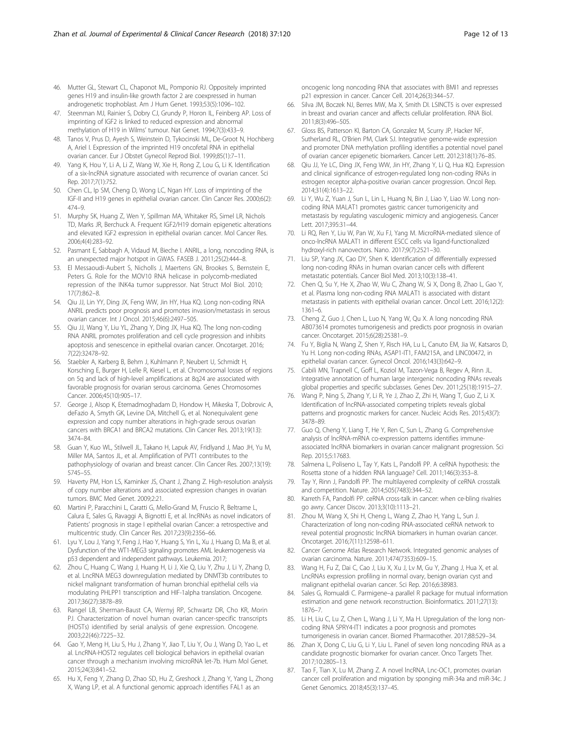- <span id="page-11-0"></span>46. Mutter GL, Stewart CL, Chaponot ML, Pomponio RJ. Oppositely imprinted genes H19 and insulin-like growth factor 2 are coexpressed in human androgenetic trophoblast. Am J Hum Genet. 1993;53(5):1096–102.
- 47. Steenman MJ, Rainier S, Dobry CJ, Grundy P, Horon IL, Feinberg AP. Loss of imprinting of IGF2 is linked to reduced expression and abnormal methylation of H19 in Wilms' tumour. Nat Genet. 1994;7(3):433–9.
- 48. Tanos V, Prus D, Ayesh S, Weinstein D, Tykocinski ML, De-Groot N, Hochberg A, Ariel I. Expression of the imprinted H19 oncofetal RNA in epithelial ovarian cancer. Eur J Obstet Gynecol Reprod Biol. 1999;85(1):7–11.
- 49. Yang K, Hou Y, Li A, Li Z, Wang W, Xie H, Rong Z, Lou G, Li K. Identification of a six-lncRNA signature associated with recurrence of ovarian cancer. Sci Rep. 2017;7(1):752.
- 50. Chen CL, Ip SM, Cheng D, Wong LC, Ngan HY. Loss of imprinting of the IGF-II and H19 genes in epithelial ovarian cancer. Clin Cancer Res. 2000;6(2): 474–9.
- 51. Murphy SK, Huang Z, Wen Y, Spillman MA, Whitaker RS, Simel LR, Nichols TD, Marks JR, Berchuck A. Frequent IGF2/H19 domain epigenetic alterations and elevated IGF2 expression in epithelial ovarian cancer. Mol Cancer Res. 2006;4(4):283–92.
- 52. Pasmant E, Sabbagh A, Vidaud M, Bieche I. ANRIL, a long, noncoding RNA, is an unexpected major hotspot in GWAS. FASEB J. 2011;25(2):444–8.
- 53. El Messaoudi-Aubert S, Nicholls J, Maertens GN, Brookes S, Bernstein E, Peters G. Role for the MOV10 RNA helicase in polycomb-mediated repression of the INK4a tumor suppressor. Nat Struct Mol Biol. 2010; 17(7):862–8.
- 54. Qiu JJ, Lin YY, Ding JX, Feng WW, Jin HY, Hua KQ. Long non-coding RNA ANRIL predicts poor prognosis and promotes invasion/metastasis in serous ovarian cancer. Int J Oncol. 2015;46(6):2497–505.
- 55. Qiu JJ, Wang Y, Liu YL, Zhang Y, Ding JX, Hua KQ. The long non-coding RNA ANRIL promotes proliferation and cell cycle progression and inhibits apoptosis and senescence in epithelial ovarian cancer. Oncotarget. 2016; 7(22):32478–92.
- 56. Staebler A, Karberg B, Behm J, Kuhlmann P, Neubert U, Schmidt H, Korsching E, Burger H, Lelle R, Kiesel L, et al. Chromosomal losses of regions on 5q and lack of high-level amplifications at 8q24 are associated with favorable prognosis for ovarian serous carcinoma. Genes Chromosomes Cancer. 2006;45(10):905–17.
- 57. George J, Alsop K, Etemadmoghadam D, Hondow H, Mikeska T, Dobrovic A, deFazio A, Smyth GK, Levine DA, Mitchell G, et al. Nonequivalent gene expression and copy number alterations in high-grade serous ovarian cancers with BRCA1 and BRCA2 mutations. Clin Cancer Res. 2013;19(13): 3474–84.
- 58. Guan Y, Kuo WL, Stilwell JL, Takano H, Lapuk AV, Fridlyand J, Mao JH, Yu M, Miller MA, Santos JL, et al. Amplification of PVT1 contributes to the pathophysiology of ovarian and breast cancer. Clin Cancer Res. 2007;13(19): 5745–55.
- 59. Haverty PM, Hon LS, Kaminker JS, Chant J, Zhang Z. High-resolution analysis of copy number alterations and associated expression changes in ovarian tumors. BMC Med Genet. 2009;2:21.
- 60. Martini P, Paracchini L, Caratti G, Mello-Grand M, Fruscio R, Beltrame L, Calura E, Sales G, Ravaggi A, Bignotti E, et al. lncRNAs as novel indicators of Patients' prognosis in stage I epithelial ovarian Cancer: a retrospective and multicentric study. Clin Cancer Res. 2017;23(9):2356–66.
- 61. Lyu Y, Lou J, Yang Y, Feng J, Hao Y, Huang S, Yin L, Xu J, Huang D, Ma B, et al. Dysfunction of the WT1-MEG3 signaling promotes AML leukemogenesis via p53 dependent and independent pathways. Leukemia. 2017;
- 62. Zhou C, Huang C, Wang J, Huang H, Li J, Xie Q, Liu Y, Zhu J, Li Y, Zhang D, et al. LncRNA MEG3 downregulation mediated by DNMT3b contributes to nickel malignant transformation of human bronchial epithelial cells via modulating PHLPP1 transcription and HIF-1alpha translation. Oncogene. 2017;36(27):3878–89.
- 63. Rangel LB, Sherman-Baust CA, Wernyj RP, Schwartz DR, Cho KR, Morin PJ. Characterization of novel human ovarian cancer-specific transcripts (HOSTs) identified by serial analysis of gene expression. Oncogene. 2003;22(46):7225–32.
- 64. Gao Y, Meng H, Liu S, Hu J, Zhang Y, Jiao T, Liu Y, Ou J, Wang D, Yao L, et al. LncRNA-HOST2 regulates cell biological behaviors in epithelial ovarian cancer through a mechanism involving microRNA let-7b. Hum Mol Genet. 2015;24(3):841–52.
- 65. Hu X, Feng Y, Zhang D, Zhao SD, Hu Z, Greshock J, Zhang Y, Yang L, Zhong X, Wang LP, et al. A functional genomic approach identifies FAL1 as an

oncogenic long noncoding RNA that associates with BMI1 and represses p21 expression in cancer. Cancer Cell. 2014;26(3):344–57.

- 66. Silva JM, Boczek NJ, Berres MW, Ma X, Smith DI. LSINCT5 is over expressed in breast and ovarian cancer and affects cellular proliferation. RNA Biol. 2011;8(3):496–505.
- 67. Gloss BS, Patterson KI, Barton CA, Gonzalez M, Scurry JP, Hacker NF, Sutherland RL, O'Brien PM, Clark SJ. Integrative genome-wide expression and promoter DNA methylation profiling identifies a potential novel panel of ovarian cancer epigenetic biomarkers. Cancer Lett. 2012;318(1):76–85.
- 68. Qiu JJ, Ye LC, Ding JX, Feng WW, Jin HY, Zhang Y, Li Q, Hua KQ. Expression and clinical significance of estrogen-regulated long non-coding RNAs in estrogen receptor alpha-positive ovarian cancer progression. Oncol Rep. 2014;31(4):1613–22.
- 69. Li Y, Wu Z, Yuan J, Sun L, Lin L, Huang N, Bin J, Liao Y, Liao W. Long noncoding RNA MALAT1 promotes gastric cancer tumorigenicity and metastasis by regulating vasculogenic mimicry and angiogenesis. Cancer Lett. 2017;395:31–44.
- 70. Li RQ, Ren Y, Liu W, Pan W, Xu FJ, Yang M. MicroRNA-mediated silence of onco-lncRNA MALAT1 in different ESCC cells via ligand-functionalized hydroxyl-rich nanovectors. Nano. 2017;9(7):2521–30.
- 71. Liu SP, Yang JX, Cao DY, Shen K. Identification of differentially expressed long non-coding RNAs in human ovarian cancer cells with different metastatic potentials. Cancer Biol Med. 2013;10(3):138–41.
- 72. Chen Q, Su Y, He X, Zhao W, Wu C, Zhang W, Si X, Dong B, Zhao L, Gao Y, et al. Plasma long non-coding RNA MALAT1 is associated with distant metastasis in patients with epithelial ovarian cancer. Oncol Lett. 2016;12(2): 1361–6.
- 73. Cheng Z, Guo J, Chen L, Luo N, Yang W, Qu X. A long noncoding RNA AB073614 promotes tumorigenesis and predicts poor prognosis in ovarian cancer. Oncotarget. 2015;6(28):25381–9.
- 74. Fu Y, Biglia N, Wang Z, Shen Y, Risch HA, Lu L, Canuto EM, Jia W, Katsaros D, Yu H. Long non-coding RNAs, ASAP1-IT1, FAM215A, and LINC00472, in epithelial ovarian cancer. Gynecol Oncol. 2016;143(3):642–9.
- 75. Cabili MN, Trapnell C, Goff L, Koziol M, Tazon-Vega B, Regev A, Rinn JL. Integrative annotation of human large intergenic noncoding RNAs reveals global properties and specific subclasses. Genes Dev. 2011;25(18):1915–27.
- 76. Wang P, Ning S, Zhang Y, Li R, Ye J, Zhao Z, Zhi H, Wang T, Guo Z, Li X. Identification of lncRNA-associated competing triplets reveals global patterns and prognostic markers for cancer. Nucleic Acids Res. 2015;43(7): 3478–89.
- 77. Guo Q, Cheng Y, Liang T, He Y, Ren C, Sun L, Zhang G. Comprehensive analysis of lncRNA-mRNA co-expression patterns identifies immuneassociated lncRNA biomarkers in ovarian cancer malignant progression. Sci Rep. 2015;5:17683.
- 78. Salmena L, Poliseno L, Tay Y, Kats L, Pandolfi PP. A ceRNA hypothesis: the Rosetta stone of a hidden RNA language? Cell. 2011;146(3):353–8.
- 79. Tay Y, Rinn J, Pandolfi PP. The multilayered complexity of ceRNA crosstalk and competition. Nature. 2014;505(7483):344–52.
- 80. Karreth FA, Pandolfi PP. ceRNA cross-talk in cancer: when ce-bling rivalries go awry. Cancer Discov. 2013;3(10):1113–21.
- 81. Zhou M, Wang X, Shi H, Cheng L, Wang Z, Zhao H, Yang L, Sun J. Characterization of long non-coding RNA-associated ceRNA network to reveal potential prognostic lncRNA biomarkers in human ovarian cancer. Oncotarget. 2016;7(11):12598–611.
- 82. Cancer Genome Atlas Research Network. Integrated genomic analyses of ovarian carcinoma. Nature. 2011;474(7353):609–15.
- 83. Wang H, Fu Z, Dai C, Cao J, Liu X, Xu J, Lv M, Gu Y, Zhang J, Hua X, et al. LncRNAs expression profiling in normal ovary, benign ovarian cyst and malignant epithelial ovarian cancer. Sci Rep. 2016;6:38983.
- 84. Sales G, Romualdi C. Parmigene–a parallel R package for mutual information estimation and gene network reconstruction. Bioinformatics. 2011;27(13): 1876–7.
- 85. Li H, Liu C, Lu Z, Chen L, Wang J, Li Y, Ma H. Upregulation of the long noncoding RNA SPRY4-IT1 indicates a poor prognosis and promotes tumorigenesis in ovarian cancer. Biomed Pharmacother. 2017;88:529–34.
- 86. Zhan X, Dong C, Liu G, Li Y, Liu L. Panel of seven long noncoding RNA as a candidate prognostic biomarker for ovarian cancer. Onco Targets Ther. 2017;10:2805–13.
- 87. Tao F, Tian X, Lu M, Zhang Z. A novel lncRNA, Lnc-OC1, promotes ovarian cancer cell proliferation and migration by sponging miR-34a and miR-34c. J Genet Genomics. 2018;45(3):137–45.